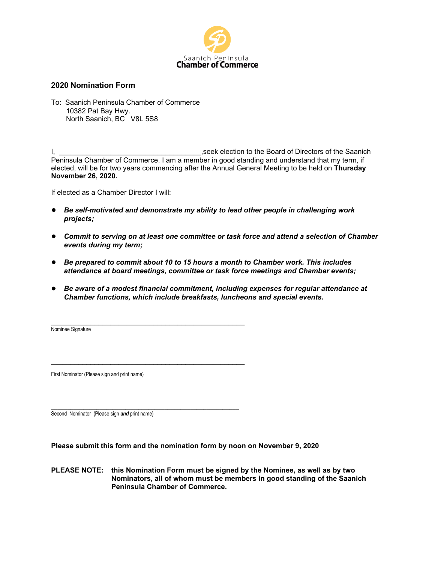

## **2020 Nomination Form**

To: Saanich Peninsula Chamber of Commerce 10382 Pat Bay Hwy. North Saanich, BC V8L 5S8

, seek election to the Board of Directors of the Saanich Peninsula Chamber of Commerce. I am a member in good standing and understand that my term, if elected, will be for two years commencing after the Annual General Meeting to be held on **Thursday November 26, 2020.**

If elected as a Chamber Director I will:

- *Be self-motivated and demonstrate my ability to lead other people in challenging work projects;*
- *Commit to serving on at least one committee or task force and attend a selection of Chamber events during my term;*
- *Be prepared to commit about 10 to 15 hours a month to Chamber work. This includes attendance at board meetings, committee or task force meetings and Chamber events;*
- *Be aware of a modest financial commitment, including expenses for regular attendance at Chamber functions, which include breakfasts, luncheons and special events.*

\_\_\_\_\_\_\_\_\_\_\_\_\_\_\_\_\_\_\_\_\_\_\_\_\_\_\_\_\_\_\_\_\_\_\_\_\_\_\_\_\_\_\_\_\_\_\_\_\_ Nominee Signature

First Nominator (Please sign and print name)

\_\_\_\_\_\_\_\_\_\_\_\_\_\_\_\_\_\_\_\_\_\_\_\_\_\_\_\_\_\_\_\_\_\_\_\_\_\_\_\_\_\_\_\_\_\_\_\_\_

\_\_\_\_\_\_\_\_\_\_\_\_\_\_\_\_\_\_\_\_\_\_\_\_\_\_\_\_\_\_\_\_\_\_\_\_\_\_\_\_\_\_\_\_\_\_\_\_\_\_\_\_\_\_\_\_\_\_

Second Nominator (Please sign *and* print name)

**Please submit this form and the nomination form by noon on November 9, 2020**

**PLEASE NOTE: this Nomination Form must be signed by the Nominee, as well as by two Nominators, all of whom must be members in good standing of the Saanich Peninsula Chamber of Commerce.**